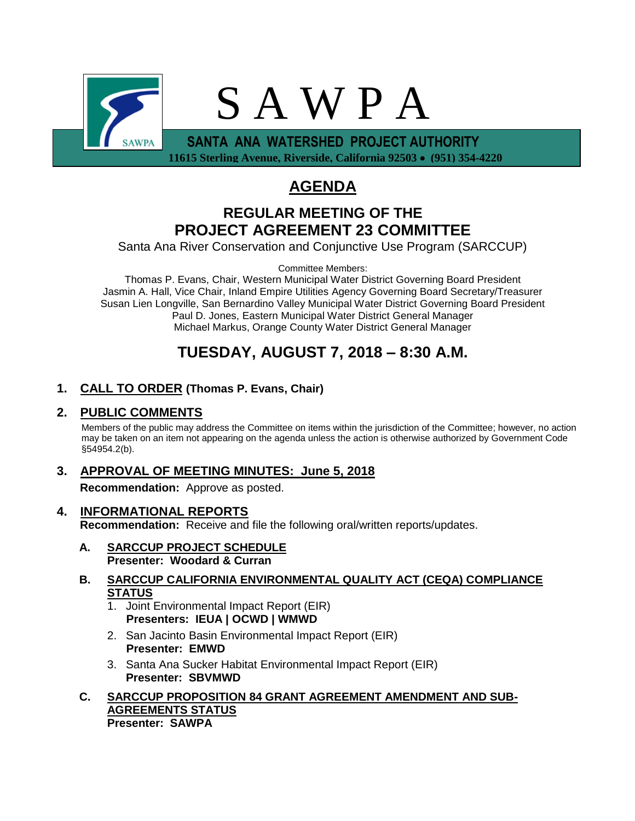

 **11615 Sterling Avenue, Riverside, California 92503** • **(951) 354-4220**

# **AGENDA**

## **REGULAR MEETING OF THE PROJECT AGREEMENT 23 COMMITTEE**

Santa Ana River Conservation and Conjunctive Use Program (SARCCUP)

Committee Members:

Thomas P. Evans, Chair, Western Municipal Water District Governing Board President Jasmin A. Hall, Vice Chair, Inland Empire Utilities Agency Governing Board Secretary/Treasurer Susan Lien Longville, San Bernardino Valley Municipal Water District Governing Board President Paul D. Jones, Eastern Municipal Water District General Manager Michael Markus, Orange County Water District General Manager

## **TUESDAY, AUGUST 7, 2018 – 8:30 A.M.**

## **1. CALL TO ORDER (Thomas P. Evans, Chair)**

## **2. PUBLIC COMMENTS**

Members of the public may address the Committee on items within the jurisdiction of the Committee; however, no action may be taken on an item not appearing on the agenda unless the action is otherwise authorized by Government Code §54954.2(b).

## **3. APPROVAL OF MEETING MINUTES: June 5, 2018**

**Recommendation:** Approve as posted.

- **4. INFORMATIONAL REPORTS Recommendation:** Receive and file the following oral/written reports/updates.
	- **A. SARCCUP PROJECT SCHEDULE Presenter: Woodard & Curran**
	- **B. SARCCUP CALIFORNIA ENVIRONMENTAL QUALITY ACT (CEQA) COMPLIANCE STATUS**
		- 1. Joint Environmental Impact Report (EIR) **Presenters: IEUA | OCWD | WMWD**
		- 2. San Jacinto Basin Environmental Impact Report (EIR) **Presenter: EMWD**
		- 3. Santa Ana Sucker Habitat Environmental Impact Report (EIR) **Presenter: SBVMWD**
	- **C. SARCCUP PROPOSITION 84 GRANT AGREEMENT AMENDMENT AND SUB-AGREEMENTS STATUS Presenter: SAWPA**